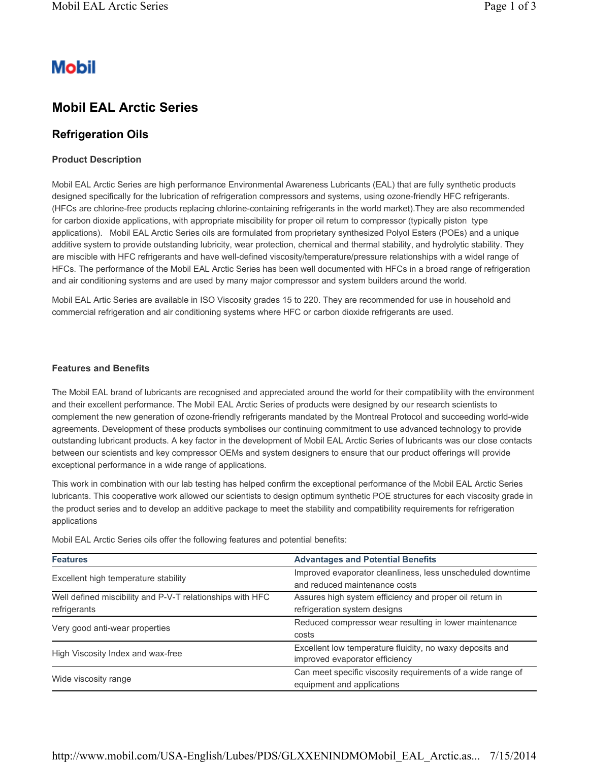# **Mobil**

## **Mobil EAL Arctic Series**

## **Refrigeration Oils**

#### **Product Description**

Mobil EAL Arctic Series are high performance Environmental Awareness Lubricants (EAL) that are fully synthetic products designed specifically for the lubrication of refrigeration compressors and systems, using ozone-friendly HFC refrigerants. (HFCs are chlorine-free products replacing chlorine-containing refrigerants in the world market).They are also recommended for carbon dioxide applications, with appropriate miscibility for proper oil return to compressor (typically piston type applications). Mobil EAL Arctic Series oils are formulated from proprietary synthesized Polyol Esters (POEs) and a unique additive system to provide outstanding lubricity, wear protection, chemical and thermal stability, and hydrolytic stability. They are miscible with HFC refrigerants and have well-defined viscosity/temperature/pressure relationships with a widel range of HFCs. The performance of the Mobil EAL Arctic Series has been well documented with HFCs in a broad range of refrigeration and air conditioning systems and are used by many major compressor and system builders around the world.

Mobil EAL Artic Series are available in ISO Viscosity grades 15 to 220. They are recommended for use in household and commercial refrigeration and air conditioning systems where HFC or carbon dioxide refrigerants are used.

#### **Features and Benefits**

The Mobil EAL brand of lubricants are recognised and appreciated around the world for their compatibility with the environment and their excellent performance. The Mobil EAL Arctic Series of products were designed by our research scientists to complement the new generation of ozone-friendly refrigerants mandated by the Montreal Protocol and succeeding world-wide agreements. Development of these products symbolises our continuing commitment to use advanced technology to provide outstanding lubricant products. A key factor in the development of Mobil EAL Arctic Series of lubricants was our close contacts between our scientists and key compressor OEMs and system designers to ensure that our product offerings will provide exceptional performance in a wide range of applications.

This work in combination with our lab testing has helped confirm the exceptional performance of the Mobil EAL Arctic Series lubricants. This cooperative work allowed our scientists to design optimum synthetic POE structures for each viscosity grade in the product series and to develop an additive package to meet the stability and compatibility requirements for refrigeration applications

| <b>Features</b>                                           | <b>Advantages and Potential Benefits</b>                    |  |  |  |
|-----------------------------------------------------------|-------------------------------------------------------------|--|--|--|
| Excellent high temperature stability                      | Improved evaporator cleanliness, less unscheduled downtime  |  |  |  |
|                                                           | and reduced maintenance costs                               |  |  |  |
| Well defined miscibility and P-V-T relationships with HFC | Assures high system efficiency and proper oil return in     |  |  |  |
| refrigerants                                              | refrigeration system designs                                |  |  |  |
| Very good anti-wear properties                            | Reduced compressor wear resulting in lower maintenance      |  |  |  |
|                                                           | costs                                                       |  |  |  |
| High Viscosity Index and wax-free                         | Excellent low temperature fluidity, no waxy deposits and    |  |  |  |
|                                                           | improved evaporator efficiency                              |  |  |  |
|                                                           | Can meet specific viscosity requirements of a wide range of |  |  |  |
| Wide viscosity range                                      | equipment and applications                                  |  |  |  |

Mobil EAL Arctic Series oils offer the following features and potential benefits: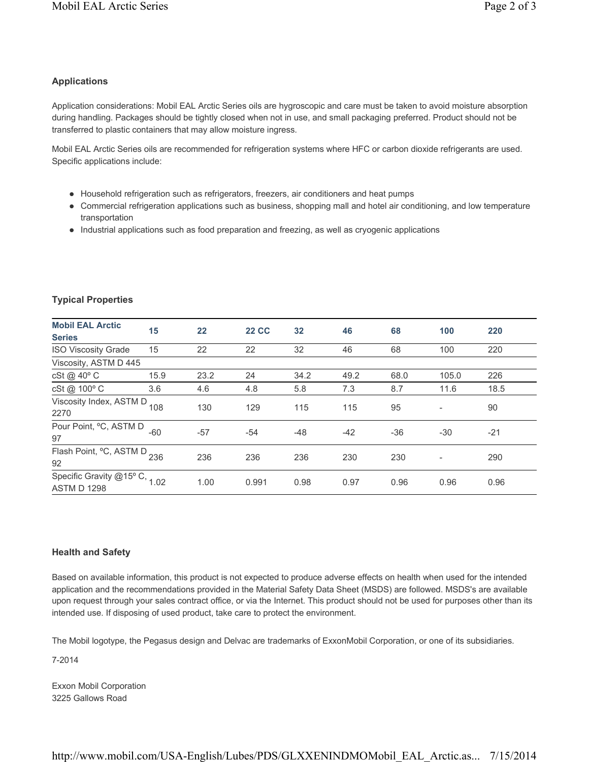### **Applications**

Application considerations: Mobil EAL Arctic Series oils are hygroscopic and care must be taken to avoid moisture absorption during handling. Packages should be tightly closed when not in use, and small packaging preferred. Product should not be transferred to plastic containers that may allow moisture ingress.

Mobil EAL Arctic Series oils are recommended for refrigeration systems where HFC or carbon dioxide refrigerants are used. Specific applications include:

- Household refrigeration such as refrigerators, freezers, air conditioners and heat pumps
- Commercial refrigeration applications such as business, shopping mall and hotel air conditioning, and low temperature transportation
- Industrial applications such as food preparation and freezing, as well as cryogenic applications

| <b>Mobil EAL Arctic</b>                             | 15   | 22    | <b>22 CC</b> | 32    | 46    | 68    | 100   | 220   |
|-----------------------------------------------------|------|-------|--------------|-------|-------|-------|-------|-------|
| <b>Series</b>                                       |      |       |              |       |       |       |       |       |
| <b>ISO Viscosity Grade</b>                          | 15   | 22    | 22           | 32    | 46    | 68    | 100   | 220   |
| Viscosity, ASTM D 445                               |      |       |              |       |       |       |       |       |
| cSt @ 40° C                                         | 15.9 | 23.2  | 24           | 34.2  | 49.2  | 68.0  | 105.0 | 226   |
| cSt @ 100° C                                        | 3.6  | 4.6   | 4.8          | 5.8   | 7.3   | 8.7   | 11.6  | 18.5  |
| Viscosity Index, ASTM D<br>2270                     | 108  | 130   | 129          | 115   | 115   | 95    |       | 90    |
| Pour Point, °C, ASTM D<br>97                        | -60  | $-57$ | $-54$        | $-48$ | $-42$ | $-36$ | $-30$ | $-21$ |
| Flash Point, °C, ASTM D 236<br>92                   |      | 236   | 236          | 236   | 230   | 230   |       | 290   |
| Specific Gravity @15° C, 1.02<br><b>ASTM D 1298</b> |      | 1.00  | 0.991        | 0.98  | 0.97  | 0.96  | 0.96  | 0.96  |

#### **Typical Properties**

#### **Health and Safety**

Based on available information, this product is not expected to produce adverse effects on health when used for the intended application and the recommendations provided in the Material Safety Data Sheet (MSDS) are followed. MSDS's are available upon request through your sales contract office, or via the Internet. This product should not be used for purposes other than its intended use. If disposing of used product, take care to protect the environment.

The Mobil logotype, the Pegasus design and Delvac are trademarks of ExxonMobil Corporation, or one of its subsidiaries.

7-2014

Exxon Mobil Corporation 3225 Gallows Road